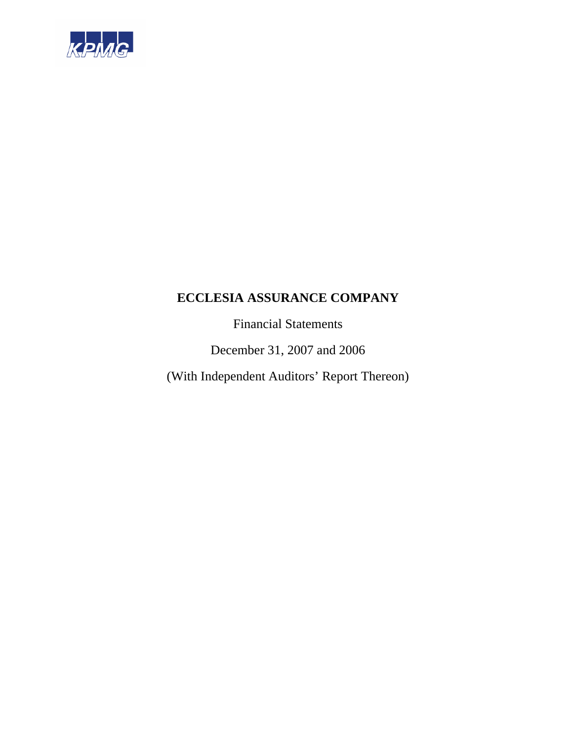

Financial Statements

December 31, 2007 and 2006

(With Independent Auditors' Report Thereon)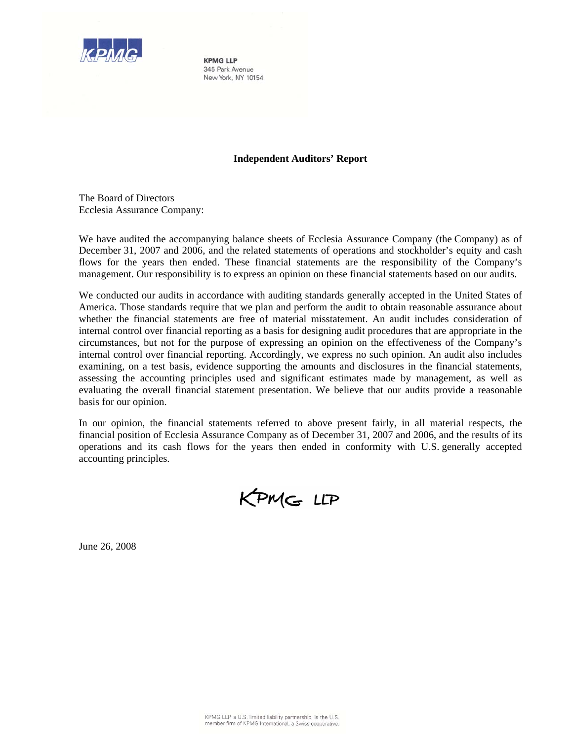

**KPMG LLP** 345 Park Avenue New York, NY 10154

#### **Independent Auditors' Report**

The Board of Directors Ecclesia Assurance Company:

We have audited the accompanying balance sheets of Ecclesia Assurance Company (the Company) as of December 31, 2007 and 2006, and the related statements of operations and stockholder's equity and cash flows for the years then ended. These financial statements are the responsibility of the Company's management. Our responsibility is to express an opinion on these financial statements based on our audits.

We conducted our audits in accordance with auditing standards generally accepted in the United States of America. Those standards require that we plan and perform the audit to obtain reasonable assurance about whether the financial statements are free of material misstatement. An audit includes consideration of internal control over financial reporting as a basis for designing audit procedures that are appropriate in the circumstances, but not for the purpose of expressing an opinion on the effectiveness of the Company's internal control over financial reporting. Accordingly, we express no such opinion. An audit also includes examining, on a test basis, evidence supporting the amounts and disclosures in the financial statements, assessing the accounting principles used and significant estimates made by management, as well as evaluating the overall financial statement presentation. We believe that our audits provide a reasonable basis for our opinion.

In our opinion, the financial statements referred to above present fairly, in all material respects, the financial position of Ecclesia Assurance Company as of December 31, 2007 and 2006, and the results of its operations and its cash flows for the years then ended in conformity with U.S. generally accepted accounting principles.

KPMG LLP

June 26, 2008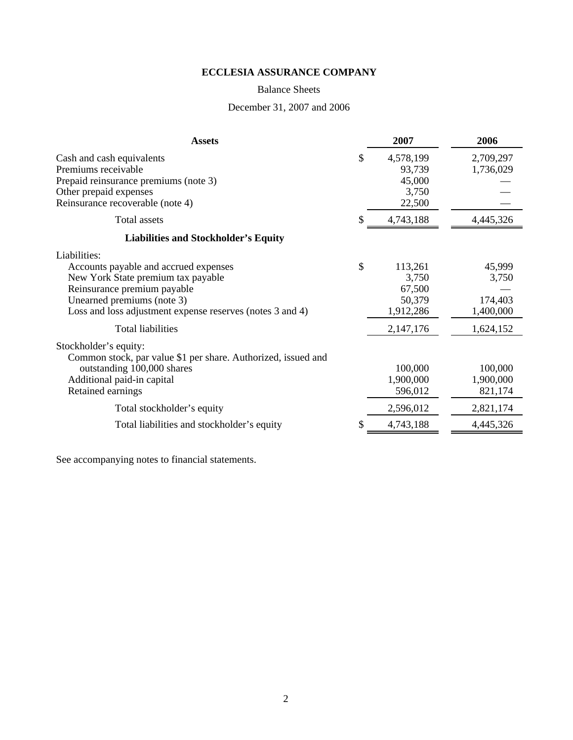### Balance Sheets

# December 31, 2007 and 2006

| <b>Assets</b>                                                                                                                                                                                                         |    | 2007                                              | 2006                                    |
|-----------------------------------------------------------------------------------------------------------------------------------------------------------------------------------------------------------------------|----|---------------------------------------------------|-----------------------------------------|
| Cash and cash equivalents<br>Premiums receivable<br>Prepaid reinsurance premiums (note 3)<br>Other prepaid expenses<br>Reinsurance recoverable (note 4)                                                               | S  | 4,578,199<br>93,739<br>45,000<br>3,750<br>22,500  | 2,709,297<br>1,736,029                  |
| <b>Total assets</b>                                                                                                                                                                                                   |    | 4,743,188                                         | 4,445,326                               |
| <b>Liabilities and Stockholder's Equity</b>                                                                                                                                                                           |    |                                                   |                                         |
| Liabilities:<br>Accounts payable and accrued expenses<br>New York State premium tax payable<br>Reinsurance premium payable<br>Unearned premiums (note 3)<br>Loss and loss adjustment expense reserves (notes 3 and 4) | \$ | 113,261<br>3,750<br>67,500<br>50,379<br>1,912,286 | 45,999<br>3,750<br>174,403<br>1,400,000 |
| <b>Total liabilities</b>                                                                                                                                                                                              |    | 2,147,176                                         | 1,624,152                               |
| Stockholder's equity:<br>Common stock, par value \$1 per share. Authorized, issued and<br>outstanding 100,000 shares<br>Additional paid-in capital<br>Retained earnings                                               |    | 100,000<br>1,900,000<br>596,012                   | 100,000<br>1,900,000<br>821,174         |
| Total stockholder's equity                                                                                                                                                                                            |    | 2,596,012                                         | 2,821,174                               |
| Total liabilities and stockholder's equity                                                                                                                                                                            |    | 4,743,188                                         | 4,445,326                               |
|                                                                                                                                                                                                                       |    |                                                   |                                         |

See accompanying notes to financial statements.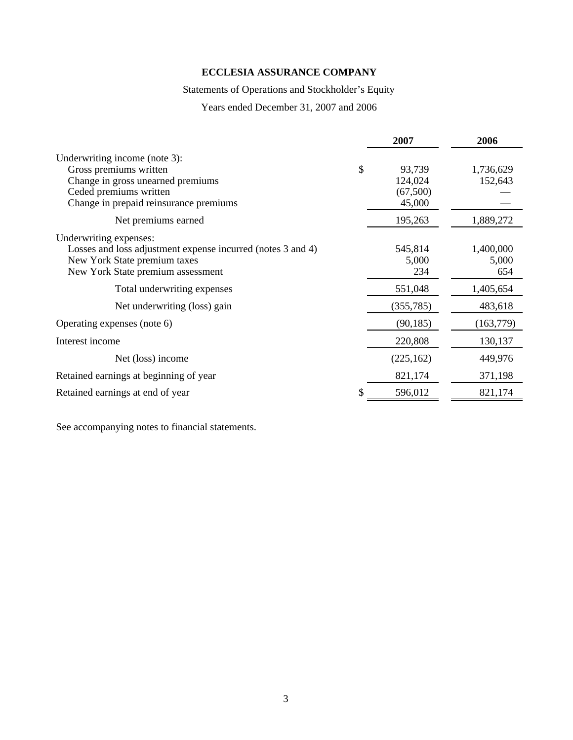# Statements of Operations and Stockholder's Equity

Years ended December 31, 2007 and 2006

|                                                             | 2007         | 2006       |
|-------------------------------------------------------------|--------------|------------|
| Underwriting income (note 3):                               |              |            |
| Gross premiums written                                      | \$<br>93,739 | 1,736,629  |
| Change in gross unearned premiums                           | 124,024      | 152,643    |
| Ceded premiums written                                      | (67,500)     |            |
|                                                             | 45,000       |            |
| Change in prepaid reinsurance premiums                      |              |            |
| Net premiums earned                                         | 195,263      | 1,889,272  |
| Underwriting expenses:                                      |              |            |
| Losses and loss adjustment expense incurred (notes 3 and 4) | 545,814      | 1,400,000  |
|                                                             |              |            |
| New York State premium taxes                                | 5,000        | 5,000      |
| New York State premium assessment                           | 234          | 654        |
| Total underwriting expenses                                 | 551,048      | 1,405,654  |
| Net underwriting (loss) gain                                | (355, 785)   | 483,618    |
| Operating expenses (note 6)                                 | (90, 185)    | (163, 779) |
|                                                             |              |            |
| Interest income                                             | 220,808      | 130,137    |
| Net (loss) income                                           | (225, 162)   | 449,976    |
| Retained earnings at beginning of year                      | 821,174      | 371,198    |
| Retained earnings at end of year                            | 596,012      | 821,174    |

See accompanying notes to financial statements.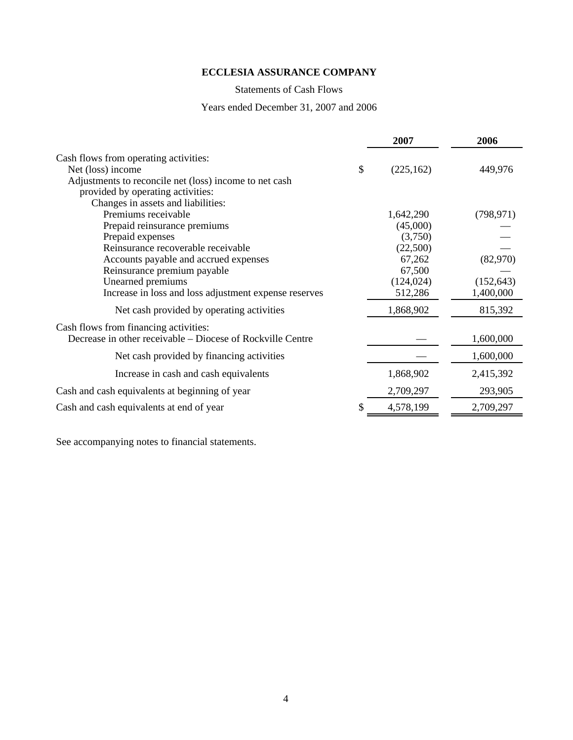# Statements of Cash Flows

### Years ended December 31, 2007 and 2006

|                                                            | 2007             | 2006       |
|------------------------------------------------------------|------------------|------------|
| Cash flows from operating activities:                      |                  |            |
| Net (loss) income                                          | \$<br>(225, 162) | 449,976    |
| Adjustments to reconcile net (loss) income to net cash     |                  |            |
| provided by operating activities:                          |                  |            |
| Changes in assets and liabilities:                         |                  |            |
| Premiums receivable                                        | 1,642,290        | (798, 971) |
| Prepaid reinsurance premiums                               | (45,000)         |            |
| Prepaid expenses                                           | (3,750)          |            |
| Reinsurance recoverable receivable                         | (22,500)         |            |
| Accounts payable and accrued expenses                      | 67,262           | (82,970)   |
| Reinsurance premium payable                                | 67,500           |            |
| Unearned premiums                                          | (124, 024)       | (152, 643) |
| Increase in loss and loss adjustment expense reserves      | 512,286          | 1,400,000  |
| Net cash provided by operating activities                  | 1,868,902        | 815,392    |
| Cash flows from financing activities:                      |                  |            |
| Decrease in other receivable – Diocese of Rockville Centre |                  | 1,600,000  |
| Net cash provided by financing activities                  |                  | 1,600,000  |
| Increase in cash and cash equivalents                      | 1,868,902        | 2,415,392  |
| Cash and cash equivalents at beginning of year             | 2,709,297        | 293,905    |
| Cash and cash equivalents at end of year                   | 4,578,199        | 2,709,297  |
|                                                            |                  |            |

See accompanying notes to financial statements.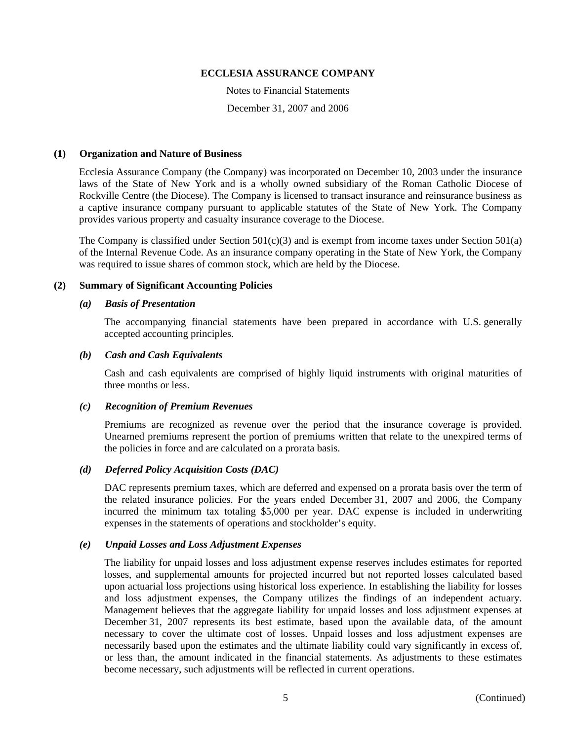Notes to Financial Statements December 31, 2007 and 2006

#### **(1) Organization and Nature of Business**

Ecclesia Assurance Company (the Company) was incorporated on December 10, 2003 under the insurance laws of the State of New York and is a wholly owned subsidiary of the Roman Catholic Diocese of Rockville Centre (the Diocese). The Company is licensed to transact insurance and reinsurance business as a captive insurance company pursuant to applicable statutes of the State of New York. The Company provides various property and casualty insurance coverage to the Diocese.

The Company is classified under Section  $501(c)(3)$  and is exempt from income taxes under Section  $501(a)$ of the Internal Revenue Code. As an insurance company operating in the State of New York, the Company was required to issue shares of common stock, which are held by the Diocese.

#### **(2) Summary of Significant Accounting Policies**

#### *(a) Basis of Presentation*

The accompanying financial statements have been prepared in accordance with U.S. generally accepted accounting principles.

#### *(b) Cash and Cash Equivalents*

Cash and cash equivalents are comprised of highly liquid instruments with original maturities of three months or less.

#### *(c) Recognition of Premium Revenues*

Premiums are recognized as revenue over the period that the insurance coverage is provided. Unearned premiums represent the portion of premiums written that relate to the unexpired terms of the policies in force and are calculated on a prorata basis.

## *(d) Deferred Policy Acquisition Costs (DAC)*

DAC represents premium taxes, which are deferred and expensed on a prorata basis over the term of the related insurance policies. For the years ended December 31, 2007 and 2006, the Company incurred the minimum tax totaling \$5,000 per year. DAC expense is included in underwriting expenses in the statements of operations and stockholder's equity.

### *(e) Unpaid Losses and Loss Adjustment Expenses*

The liability for unpaid losses and loss adjustment expense reserves includes estimates for reported losses, and supplemental amounts for projected incurred but not reported losses calculated based upon actuarial loss projections using historical loss experience. In establishing the liability for losses and loss adjustment expenses, the Company utilizes the findings of an independent actuary. Management believes that the aggregate liability for unpaid losses and loss adjustment expenses at December 31, 2007 represents its best estimate, based upon the available data, of the amount necessary to cover the ultimate cost of losses. Unpaid losses and loss adjustment expenses are necessarily based upon the estimates and the ultimate liability could vary significantly in excess of, or less than, the amount indicated in the financial statements. As adjustments to these estimates become necessary, such adjustments will be reflected in current operations.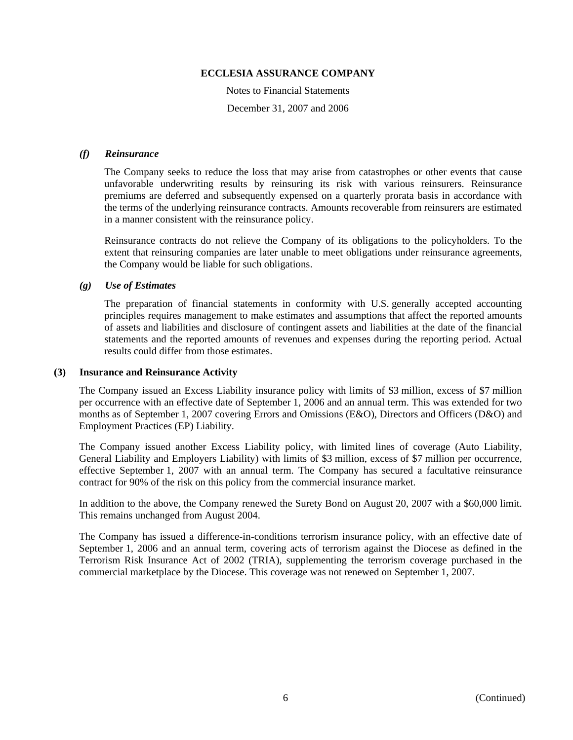Notes to Financial Statements December 31, 2007 and 2006

#### *(f) Reinsurance*

The Company seeks to reduce the loss that may arise from catastrophes or other events that cause unfavorable underwriting results by reinsuring its risk with various reinsurers. Reinsurance premiums are deferred and subsequently expensed on a quarterly prorata basis in accordance with the terms of the underlying reinsurance contracts. Amounts recoverable from reinsurers are estimated in a manner consistent with the reinsurance policy.

Reinsurance contracts do not relieve the Company of its obligations to the policyholders. To the extent that reinsuring companies are later unable to meet obligations under reinsurance agreements, the Company would be liable for such obligations.

#### *(g) Use of Estimates*

The preparation of financial statements in conformity with U.S. generally accepted accounting principles requires management to make estimates and assumptions that affect the reported amounts of assets and liabilities and disclosure of contingent assets and liabilities at the date of the financial statements and the reported amounts of revenues and expenses during the reporting period. Actual results could differ from those estimates.

#### **(3) Insurance and Reinsurance Activity**

The Company issued an Excess Liability insurance policy with limits of \$3 million, excess of \$7 million per occurrence with an effective date of September 1, 2006 and an annual term. This was extended for two months as of September 1, 2007 covering Errors and Omissions (E&O), Directors and Officers (D&O) and Employment Practices (EP) Liability.

The Company issued another Excess Liability policy, with limited lines of coverage (Auto Liability, General Liability and Employers Liability) with limits of \$3 million, excess of \$7 million per occurrence, effective September 1, 2007 with an annual term. The Company has secured a facultative reinsurance contract for 90% of the risk on this policy from the commercial insurance market.

In addition to the above, the Company renewed the Surety Bond on August 20, 2007 with a \$60,000 limit. This remains unchanged from August 2004.

The Company has issued a difference-in-conditions terrorism insurance policy, with an effective date of September 1, 2006 and an annual term, covering acts of terrorism against the Diocese as defined in the Terrorism Risk Insurance Act of 2002 (TRIA), supplementing the terrorism coverage purchased in the commercial marketplace by the Diocese. This coverage was not renewed on September 1, 2007.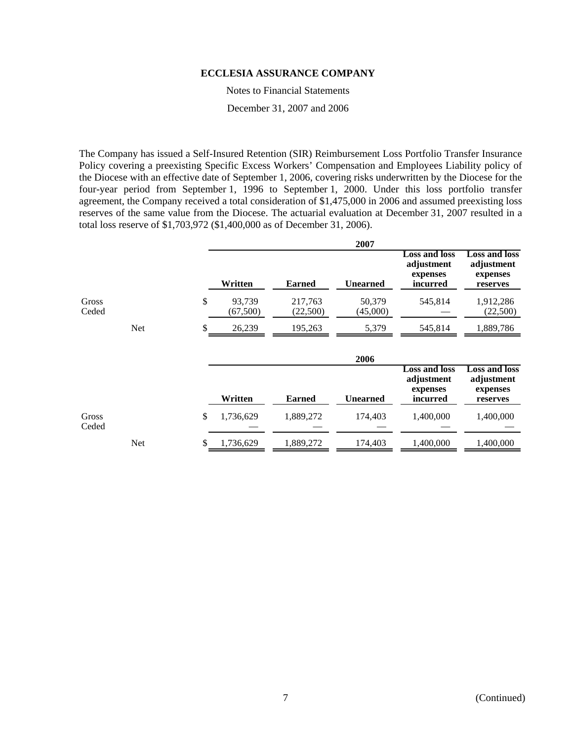Notes to Financial Statements

December 31, 2007 and 2006

The Company has issued a Self-Insured Retention (SIR) Reimbursement Loss Portfolio Transfer Insurance Policy covering a preexisting Specific Excess Workers' Compensation and Employees Liability policy of the Diocese with an effective date of September 1, 2006, covering risks underwritten by the Diocese for the four-year period from September 1, 1996 to September 1, 2000. Under this loss portfolio transfer agreement, the Company received a total consideration of \$1,475,000 in 2006 and assumed preexisting loss reserves of the same value from the Diocese. The actuarial evaluation at December 31, 2007 resulted in a total loss reserve of \$1,703,972 (\$1,400,000 as of December 31, 2006).

|                |            |    |                     |                     | 2007               |                                                            |                                                            |
|----------------|------------|----|---------------------|---------------------|--------------------|------------------------------------------------------------|------------------------------------------------------------|
|                |            |    | Written             | <b>Earned</b>       | <b>Unearned</b>    | <b>Loss and loss</b><br>adjustment<br>expenses<br>incurred | <b>Loss and loss</b><br>adjustment<br>expenses<br>reserves |
| Gross<br>Ceded |            | \$ | 93,739<br>(67, 500) | 217,763<br>(22,500) | 50,379<br>(45,000) | 545,814                                                    | 1,912,286<br>(22,500)                                      |
|                | <b>Net</b> | S  | 26,239              | 195,263             | 5,379              | 545,814                                                    | 1,889,786                                                  |
|                |            |    |                     |                     | 2006               |                                                            |                                                            |
|                |            |    | Written             | <b>Earned</b>       | <b>Unearned</b>    | <b>Loss and loss</b><br>adjustment<br>expenses<br>incurred | <b>Loss and loss</b><br>adjustment<br>expenses<br>reserves |
| Gross<br>Ceded |            | \$ | 1,736,629           | 1,889,272           | 174,403            | 1,400,000                                                  | 1,400,000                                                  |
|                | <b>Net</b> | S  | 1,736,629           | 1,889,272           | 174,403            | 1,400,000                                                  | 1,400,000                                                  |